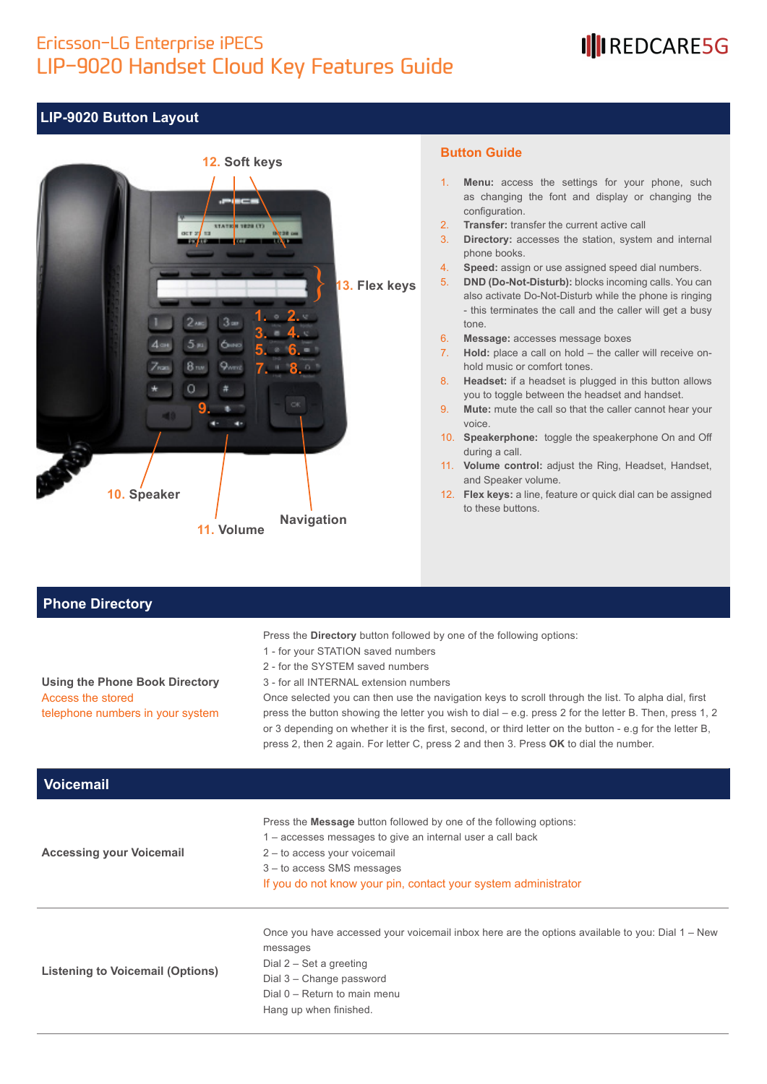### Ericsson-LG Enterprise iPECS LIP-9020 Handset Cloud Key Features Guide

## IllREDCARE5G

#### **LIP-9020 Button Layout**



#### **Button Guide**

- 1. **Menu:** access the settings for your phone, such as changing the font and display or changing the configuration.
- 2. **Transfer:** transfer the current active call
- 3. **Directory:** accesses the station, system and internal phone books.
- 4. **Speed:** assign or use assigned speed dial numbers.
- 5. **DND (Do-Not-Disturb):** blocks incoming calls. You can also activate Do-Not-Disturb while the phone is ringing - this terminates the call and the caller will get a busy tone.
- 6. **Message:** accesses message boxes
- 7. **Hold:** place a call on hold the caller will receive onhold music or comfort tones.
- 8. **Headset:** if a headset is plugged in this button allows you to toggle between the headset and handset.
- 9. **Mute:** mute the call so that the caller cannot hear your voice.
- 10. **Speakerphone:** toggle the speakerphone On and Off during a call.
- 11. **Volume control:** adjust the Ring, Headset, Handset, and Speaker volume.
- 12. **Flex keys:** a line, feature or quick dial can be assigned to these buttons.

#### **Phone Directory**

Access the stored

**Using the Phone Book Directory**

telephone numbers in your system

Press the **Directory** button followed by one of the following options:

- 1 for your STATION saved numbers
- 2 for the SYSTEM saved numbers
- 3 for all INTERNAL extension numbers

Once selected you can then use the navigation keys to scroll through the list. To alpha dial, first press the button showing the letter you wish to dial – e.g. press 2 for the letter B. Then, press 1, 2 or 3 depending on whether it is the first, second, or third letter on the button - e.g for the letter B, press 2, then 2 again. For letter C, press 2 and then 3. Press **OK** to dial the number.

| <b>Voicemail</b>                        |                                                                                                                                                                                                                                                                         |
|-----------------------------------------|-------------------------------------------------------------------------------------------------------------------------------------------------------------------------------------------------------------------------------------------------------------------------|
| <b>Accessing your Voicemail</b>         | Press the <b>Message</b> button followed by one of the following options:<br>1 – accesses messages to give an internal user a call back<br>2 - to access your voicemail<br>3 – to access SMS messages<br>If you do not know your pin, contact your system administrator |
| <b>Listening to Voicemail (Options)</b> | Once you have accessed your voicemail inbox here are the options available to you: Dial 1 – New<br>messages<br>Dial $2 - Set$ a greeting<br>Dial 3 – Change password<br>Dial $0$ – Return to main menu<br>Hang up when finished.                                        |